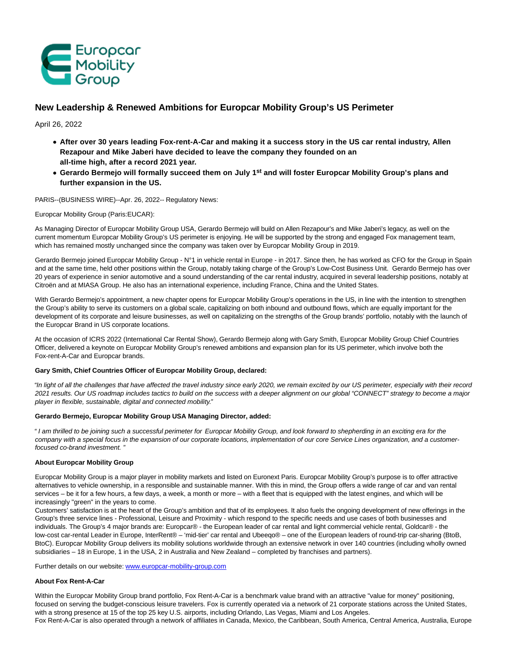

# **New Leadership & Renewed Ambitions for Europcar Mobility Group's US Perimeter**

April 26, 2022

- **After over 30 years leading Fox-rent-A-Car and making it a success story in the US car rental industry, Allen Rezapour and Mike Jaberi have decided to leave the company they founded on an all-time high, after a record 2021 year.**
- **Gerardo Bermejo will formally succeed them on July 1st and will foster Europcar Mobility Group's plans and further expansion in the US.**

PARIS--(BUSINESS WIRE)--Apr. 26, 2022-- Regulatory News:

Europcar Mobility Group (Paris:EUCAR):

As Managing Director of Europcar Mobility Group USA, Gerardo Bermejo will build on Allen Rezapour's and Mike Jaberi's legacy, as well on the current momentum Europcar Mobility Group's US perimeter is enjoying. He will be supported by the strong and engaged Fox management team, which has remained mostly unchanged since the company was taken over by Europcar Mobility Group in 2019.

Gerardo Bermejo joined Europcar Mobility Group - N°1 in vehicle rental in Europe - in 2017. Since then, he has worked as CFO for the Group in Spain and at the same time, held other positions within the Group, notably taking charge of the Group's Low-Cost Business Unit. Gerardo Bermejo has over 20 years of experience in senior automotive and a sound understanding of the car rental industry, acquired in several leadership positions, notably at Citroën and at MIASA Group. He also has an international experience, including France, China and the United States.

With Gerardo Bermejo's appointment, a new chapter opens for Europcar Mobility Group's operations in the US, in line with the intention to strengthen the Group's ability to serve its customers on a global scale, capitalizing on both inbound and outbound flows, which are equally important for the development of its corporate and leisure businesses, as well on capitalizing on the strengths of the Group brands' portfolio, notably with the launch of the Europcar Brand in US corporate locations.

At the occasion of ICRS 2022 (International Car Rental Show), Gerardo Bermejo along with Gary Smith, Europcar Mobility Group Chief Countries Officer, delivered a keynote on Europcar Mobility Group's renewed ambitions and expansion plan for its US perimeter, which involve both the Fox-rent-A-Car and Europcar brands.

## **Gary Smith, Chief Countries Officer of Europcar Mobility Group, declared:**

"In light of all the challenges that have affected the travel industry since early 2020, we remain excited by our US perimeter, especially with their record 2021 results. Our US roadmap includes tactics to build on the success with a deeper alignment on our global "CONNECT" strategy to become a major player in flexible, sustainable, digital and connected mobility."

# **Gerardo Bermejo, Europcar Mobility Group USA Managing Director, added:**

" I am thrilled to be joining such a successful perimeter for Europcar Mobility Group, and look forward to shepherding in an exciting era for the company with a special focus in the expansion of our corporate locations, implementation of our core Service Lines organization, and a customerfocused co-brand investment. "

# **About Europcar Mobility Group**

Europcar Mobility Group is a major player in mobility markets and listed on Euronext Paris. Europcar Mobility Group's purpose is to offer attractive alternatives to vehicle ownership, in a responsible and sustainable manner. With this in mind, the Group offers a wide range of car and van rental services – be it for a few hours, a few days, a week, a month or more – with a fleet that is equipped with the latest engines, and which will be increasingly "green" in the years to come.

Customers' satisfaction is at the heart of the Group's ambition and that of its employees. It also fuels the ongoing development of new offerings in the Group's three service lines - Professional, Leisure and Proximity - which respond to the specific needs and use cases of both businesses and individuals. The Group's 4 major brands are: Europcar® - the European leader of car rental and light commercial vehicle rental, Goldcar® - the low-cost car-rental Leader in Europe, InterRent® – 'mid-tier' car rental and Ubeeqo® – one of the European leaders of round-trip car-sharing (BtoB, BtoC). Europcar Mobility Group delivers its mobility solutions worldwide through an extensive network in over 140 countries (including wholly owned subsidiaries – 18 in Europe, 1 in the USA, 2 in Australia and New Zealand – completed by franchises and partners).

Further details on our website: [www.europcar-mobility-group.com](https://cts.businesswire.com/ct/CT?id=smartlink&url=http%3A%2F%2Fwww.europcar-mobility-group.com&esheet=52698082&newsitemid=20220426006029&lan=en-US&anchor=www.europcar-mobility-group.com&index=1&md5=03f77f0d58d4e54fa9de0739826b47b0)

## **About Fox Rent-A-Car**

Within the Europcar Mobility Group brand portfolio, Fox Rent-A-Car is a benchmark value brand with an attractive "value for money" positioning, focused on serving the budget-conscious leisure travelers. Fox is currently operated via a network of 21 corporate stations across the United States, with a strong presence at 15 of the top 25 key U.S. airports, including Orlando, Las Vegas, Miami and Los Angeles.

Fox Rent-A-Car is also operated through a network of affiliates in Canada, Mexico, the Caribbean, South America, Central America, Australia, Europe